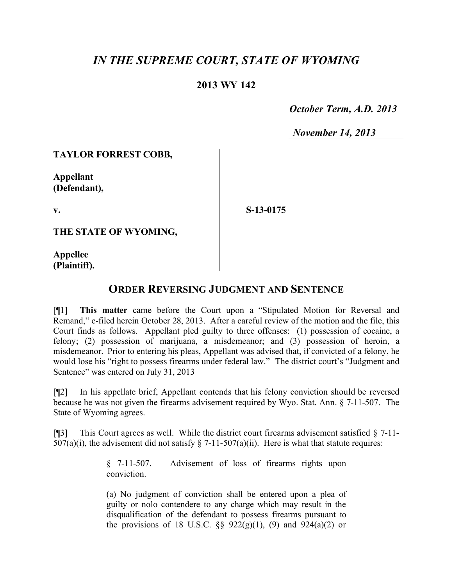# *IN THE SUPREME COURT, STATE OF WYOMING*

## **2013 WY 142**

 *October Term, A.D. 2013*

*November 14, 2013*

#### **TAYLOR FORREST COBB,**

**Appellant (Defendant),**

**v.**

**S-13-0175**

**THE STATE OF WYOMING,**

**Appellee (Plaintiff).**

### **ORDER REVERSING JUDGMENT AND SENTENCE**

[¶1] **This matter** came before the Court upon a "Stipulated Motion for Reversal and Remand," e-filed herein October 28, 2013. After a careful review of the motion and the file, this Court finds as follows. Appellant pled guilty to three offenses: (1) possession of cocaine, a felony; (2) possession of marijuana, a misdemeanor; and (3) possession of heroin, a misdemeanor. Prior to entering his pleas, Appellant was advised that, if convicted of a felony, he would lose his "right to possess firearms under federal law." The district court's "Judgment and Sentence" was entered on July 31, 2013

[¶2] In his appellate brief, Appellant contends that his felony conviction should be reversed because he was not given the firearms advisement required by Wyo. Stat. Ann. § 7-11-507. The State of Wyoming agrees.

[ $\llbracket \cdot \rrbracket$ ] This Court agrees as well. While the district court firearms advisement satisfied  $\S$  7-11-507(a)(i), the advisement did not satisfy  $\S$  7-11-507(a)(ii). Here is what that statute requires:

> § 7-11-507. Advisement of loss of firearms rights upon conviction.

> (a) No judgment of conviction shall be entered upon a plea of guilty or nolo contendere to any charge which may result in the disqualification of the defendant to possess firearms pursuant to the provisions of 18 U.S.C.  $\S$ § 922(g)(1), (9) and 924(a)(2) or